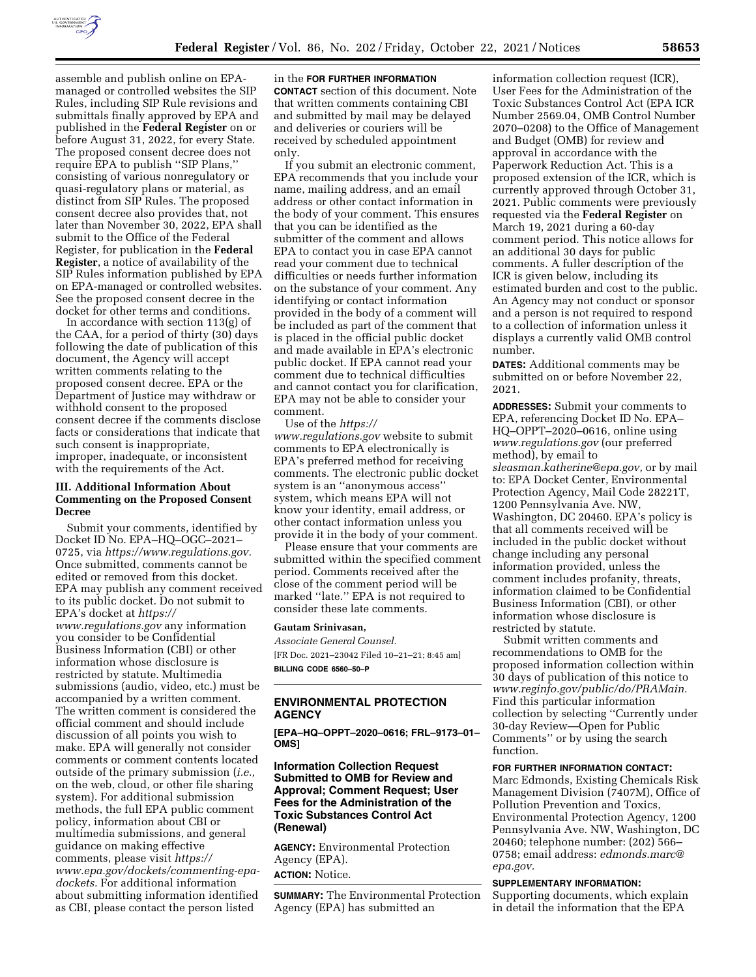

assemble and publish online on EPAmanaged or controlled websites the SIP Rules, including SIP Rule revisions and submittals finally approved by EPA and published in the **Federal Register** on or before August 31, 2022, for every State. The proposed consent decree does not require EPA to publish ''SIP Plans,'' consisting of various nonregulatory or quasi-regulatory plans or material, as distinct from SIP Rules. The proposed consent decree also provides that, not later than November 30, 2022, EPA shall submit to the Office of the Federal Register, for publication in the **Federal Register**, a notice of availability of the SIP Rules information published by EPA on EPA-managed or controlled websites. See the proposed consent decree in the docket for other terms and conditions.

In accordance with section 113(g) of the CAA, for a period of thirty (30) days following the date of publication of this document, the Agency will accept written comments relating to the proposed consent decree. EPA or the Department of Justice may withdraw or withhold consent to the proposed consent decree if the comments disclose facts or considerations that indicate that such consent is inappropriate, improper, inadequate, or inconsistent with the requirements of the Act.

# **III. Additional Information About Commenting on the Proposed Consent Decree**

Submit your comments, identified by Docket ID No. EPA–HQ–OGC–2021– 0725, via *[https://www.regulations.gov.](https://www.regulations.gov)*  Once submitted, comments cannot be edited or removed from this docket. EPA may publish any comment received to its public docket. Do not submit to EPA's docket at *[https://](https://www.regulations.gov) [www.regulations.gov](https://www.regulations.gov)* any information you consider to be Confidential Business Information (CBI) or other information whose disclosure is restricted by statute. Multimedia submissions (audio, video, etc.) must be accompanied by a written comment. The written comment is considered the official comment and should include discussion of all points you wish to make. EPA will generally not consider comments or comment contents located outside of the primary submission (*i.e.,*  on the web, cloud, or other file sharing system). For additional submission methods, the full EPA public comment policy, information about CBI or multimedia submissions, and general guidance on making effective comments, please visit *[https://](https://www.epa.gov/dockets/commenting-epa-dockets) [www.epa.gov/dockets/commenting-epa](https://www.epa.gov/dockets/commenting-epa-dockets)[dockets.](https://www.epa.gov/dockets/commenting-epa-dockets)* For additional information about submitting information identified as CBI, please contact the person listed

#### in the **FOR FURTHER INFORMATION**

**CONTACT** section of this document. Note that written comments containing CBI and submitted by mail may be delayed and deliveries or couriers will be received by scheduled appointment only.

If you submit an electronic comment, EPA recommends that you include your name, mailing address, and an email address or other contact information in the body of your comment. This ensures that you can be identified as the submitter of the comment and allows EPA to contact you in case EPA cannot read your comment due to technical difficulties or needs further information on the substance of your comment. Any identifying or contact information provided in the body of a comment will be included as part of the comment that is placed in the official public docket and made available in EPA's electronic public docket. If EPA cannot read your comment due to technical difficulties and cannot contact you for clarification, EPA may not be able to consider your comment.

Use of the *[https://](https://www.regulations.gov) [www.regulations.gov](https://www.regulations.gov)* website to submit comments to EPA electronically is EPA's preferred method for receiving comments. The electronic public docket system is an ''anonymous access'' system, which means EPA will not know your identity, email address, or other contact information unless you provide it in the body of your comment.

Please ensure that your comments are submitted within the specified comment period. Comments received after the close of the comment period will be marked ''late.'' EPA is not required to consider these late comments.

#### **Gautam Srinivasan,**

*Associate General Counsel.*  [FR Doc. 2021–23042 Filed 10–21–21; 8:45 am] **BILLING CODE 6560–50–P** 

### **ENVIRONMENTAL PROTECTION AGENCY**

**[EPA–HQ–OPPT–2020–0616; FRL–9173–01– OMS]** 

# **Information Collection Request Submitted to OMB for Review and Approval; Comment Request; User Fees for the Administration of the Toxic Substances Control Act (Renewal)**

**AGENCY:** Environmental Protection Agency (EPA). **ACTION:** Notice.

**SUMMARY:** The Environmental Protection Agency (EPA) has submitted an

information collection request (ICR), User Fees for the Administration of the Toxic Substances Control Act (EPA ICR Number 2569.04, OMB Control Number 2070–0208) to the Office of Management and Budget (OMB) for review and approval in accordance with the Paperwork Reduction Act. This is a proposed extension of the ICR, which is currently approved through October 31, 2021. Public comments were previously requested via the **Federal Register** on March 19, 2021 during a 60-day comment period. This notice allows for an additional 30 days for public comments. A fuller description of the ICR is given below, including its estimated burden and cost to the public. An Agency may not conduct or sponsor and a person is not required to respond to a collection of information unless it displays a currently valid OMB control number.

**DATES:** Additional comments may be submitted on or before November 22, 2021.

**ADDRESSES:** Submit your comments to EPA, referencing Docket ID No. EPA– HQ–OPPT–2020–0616, online using *[www.regulations.gov](http://www.regulations.gov)* (our preferred method), by email to *[sleasman.katherine@epa.gov,](mailto:sleasman.katherine@epa.gov)* or by mail to: EPA Docket Center, Environmental Protection Agency, Mail Code 28221T, 1200 Pennsylvania Ave. NW, Washington, DC 20460. EPA's policy is that all comments received will be included in the public docket without change including any personal information provided, unless the comment includes profanity, threats, information claimed to be Confidential Business Information (CBI), or other information whose disclosure is restricted by statute.

Submit written comments and recommendations to OMB for the proposed information collection within 30 days of publication of this notice to *[www.reginfo.gov/public/do/PRAMain.](http://www.reginfo.gov/public/do/PRAMain)*  Find this particular information collection by selecting ''Currently under 30-day Review—Open for Public Comments'' or by using the search function.

### **FOR FURTHER INFORMATION CONTACT:**

Marc Edmonds, Existing Chemicals Risk Management Division (7407M), Office of Pollution Prevention and Toxics, Environmental Protection Agency, 1200 Pennsylvania Ave. NW, Washington, DC 20460; telephone number: (202) 566– 0758; email address: *[edmonds.marc@](mailto:edmonds.marc@epa.gov) [epa.gov.](mailto:edmonds.marc@epa.gov)* 

#### **SUPPLEMENTARY INFORMATION:**

Supporting documents, which explain in detail the information that the EPA